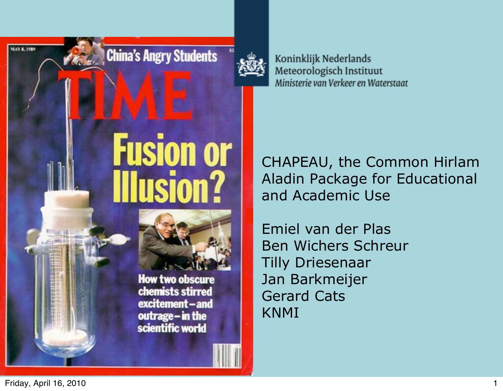

Koninklijk Nederlands Meteorologisch Instituut Ministerie van Verkeer en Waterstaat

CHAPEAU, the Common Hirlam Aladin Package for Educational and Academic Use

Emiel van der Plas Ben Wichers Schreur Tilly Driesenaar Jan Barkmeijer Gerard Cats KNMI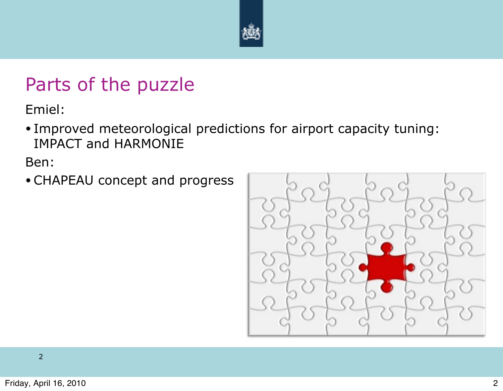

#### Parts of the puzzle

Emiel:

Improved meteorological predictions for airport capacity tuning: IMPACT and HARMONIE

Ben:

CHAPEAU concept and progress

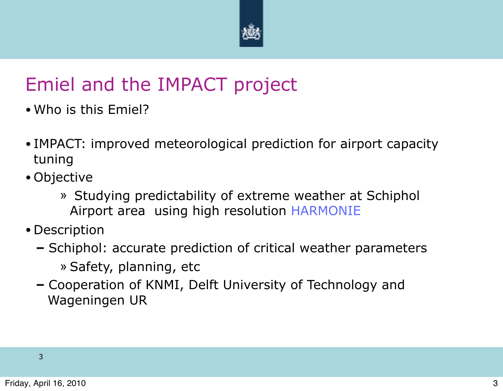

# Emiel and the IMPACT project

- Who is this Emiel?
- IMPACT: improved meteorological prediction for airport capacity tuning
- Objective
	- » Studying predictability of extreme weather at Schiphol Airport area using high resolution HARMONIE
- Description
	- Schiphol: accurate prediction of critical weather parameters » Safety, planning, etc
	- Cooperation of KNMI, Delft University of Technology and Wageningen UR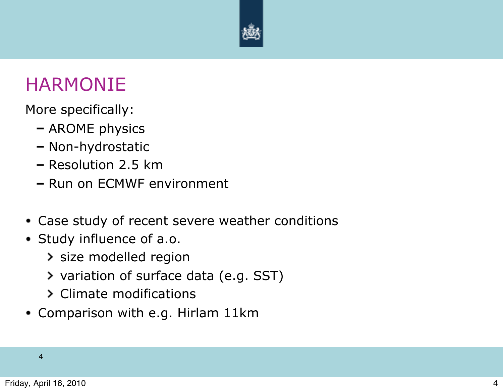

#### HARMONIE

More specifically:

- AROME physics
- Non-hydrostatic
- Resolution 2.5 km
- Run on ECMWF environment
- Case study of recent severe weather conditions
- Study influence of a.o.
	- > size modelled region
	- variation of surface data (e.g. SST)
	- Climate modifications
- Comparison with e.g. Hirlam 11km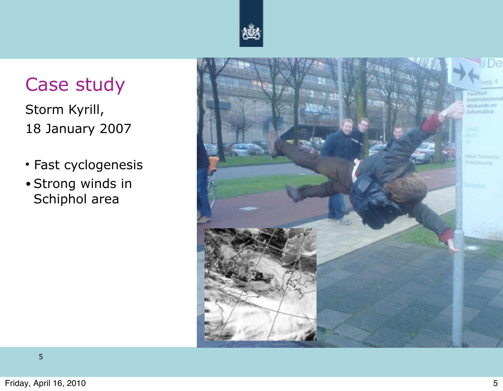

# Case study

Storm Kyrill, 18 January 2007

- Fast cyclogenesis
- Strong winds in Schiphol area

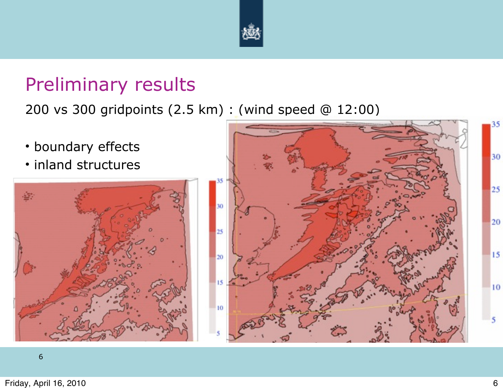

#### Preliminary results

200 vs 300 gridpoints (2.5 km) : (wind speed @ 12:00)

- boundary effects
- inland structures



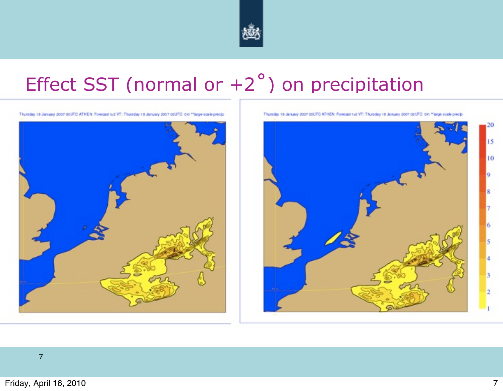

# Effect SST (normal or  $+2^{\circ}$ ) on precipitation



Thursday 18 January 2007 00UTC ATHEN Forecast t-2 VT: Thursday 18 January 2007 02UTC On "Targe scale precip

Thursday 18 January 2007 00UTC ATHEN Forecast t+2 VT: Thursday 18 January 2007 02UTC On "large scale precis-

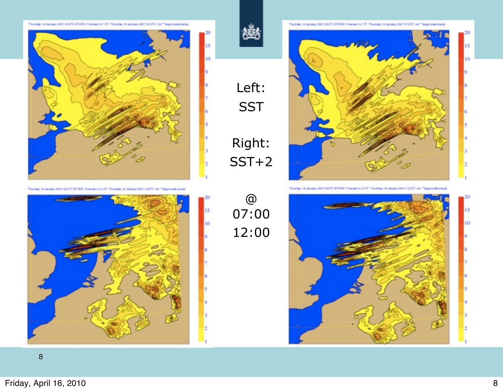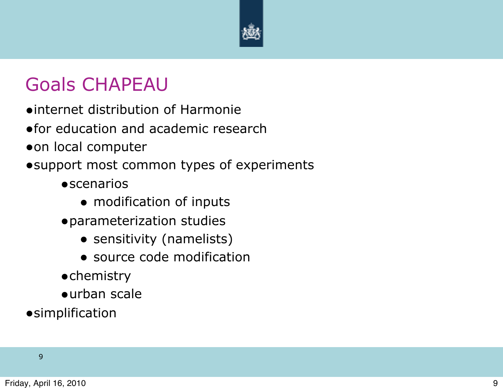

# Goals CHAPEAU

- •internet distribution of Harmonie
- •for education and academic research
- •on local computer
- •support most common types of experiments
	- **•**scenarios
		- modification of inputs
	- •parameterization studies
		- sensitivity (namelists)
		- source code modification
	- •chemistry
	- •urban scale
- **•**simplification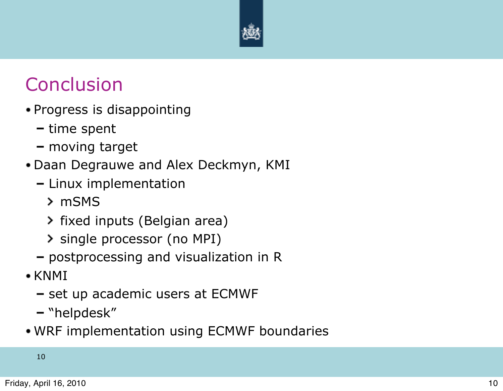

# **Conclusion**

- Progress is disappointing
	- $-$  time spent
	- moving target
- Daan Degrauwe and Alex Deckmyn, KMI
	- $-$  Linux implementation
		- mSMS
		- > fixed inputs (Belgian area)
		- > single processor (no MPI)
	- postprocessing and visualization in R
- $\bullet$  KNMI
	- $-$  set up academic users at ECMWF
	- "helpdesk"
- WRF implementation using ECMWF boundaries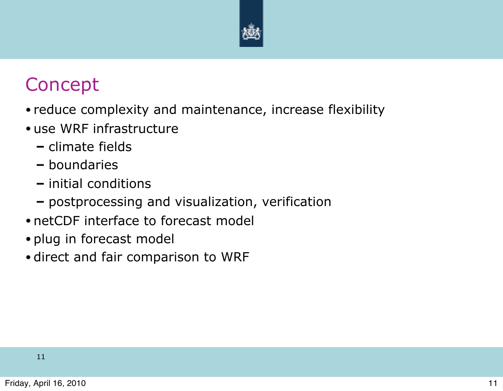

# Concept

- reduce complexity and maintenance, increase flexibility
- use WRF infrastructure
	- climate fields
	- boundaries
	- $-$  initial conditions
	- postprocessing and visualization, verification
- netCDF interface to forecast model
- plug in forecast model
- direct and fair comparison to WRF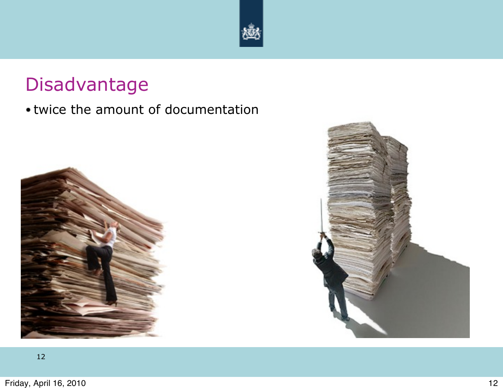

# Disadvantage

#### twice the amount of documentation